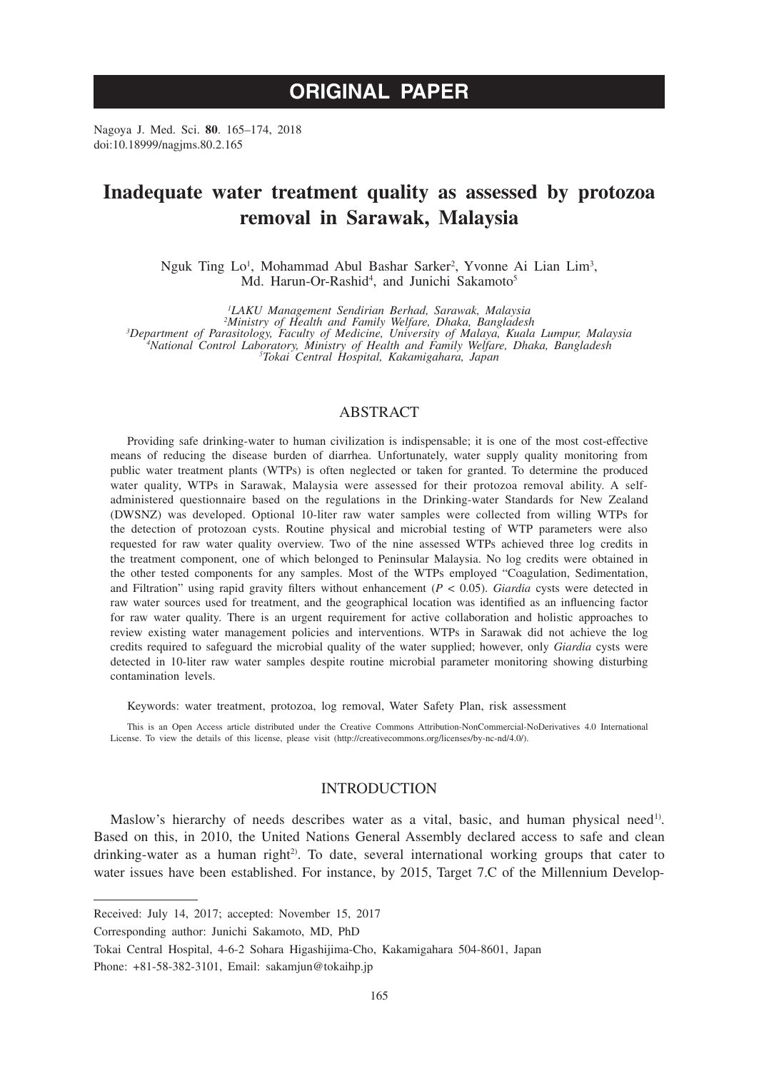# **ORIGINAL PAPER**

Nagoya J. Med. Sci. **80**. 165–174, 2018 doi:10.18999/nagjms.80.2.165

# **Inadequate water treatment quality as assessed by protozoa removal in Sarawak, Malaysia**

Nguk Ting Lo<sup>1</sup>, Mohammad Abul Bashar Sarker<sup>2</sup>, Yvonne Ai Lian Lim<sup>3</sup>, Md. Harun-Or-Rashid<sup>4</sup>, and Junichi Sakamoto<sup>5</sup>

*1 LAKU Management Sendirian Berhad, Sarawak, Malaysia*

<sup>3</sup> *Ministry of Health and Family Welfare, Dhaka, Bangladesh 3 Department of Parasitology, Faculty of Medicine, University of Medicine, Alalaysia 4*<br><sup>3</sup> *Medicinal Control Laboratory Ministry of Health and Family We* 

*National Control Laboratory, Ministry of Health and Family Welfare, Dhaka, Bangladesh <sup>5</sup> Tokai Central Hospital, Kakamigahara, Japan*

# ABSTRACT

Providing safe drinking-water to human civilization is indispensable; it is one of the most cost-effective means of reducing the disease burden of diarrhea. Unfortunately, water supply quality monitoring from public water treatment plants (WTPs) is often neglected or taken for granted. To determine the produced water quality, WTPs in Sarawak, Malaysia were assessed for their protozoa removal ability. A selfadministered questionnaire based on the regulations in the Drinking-water Standards for New Zealand (DWSNZ) was developed. Optional 10-liter raw water samples were collected from willing WTPs for the detection of protozoan cysts. Routine physical and microbial testing of WTP parameters were also requested for raw water quality overview. Two of the nine assessed WTPs achieved three log credits in the treatment component, one of which belonged to Peninsular Malaysia. No log credits were obtained in the other tested components for any samples. Most of the WTPs employed "Coagulation, Sedimentation, and Filtration" using rapid gravity filters without enhancement (*P* < 0.05). *Giardia* cysts were detected in raw water sources used for treatment, and the geographical location was identified as an influencing factor for raw water quality. There is an urgent requirement for active collaboration and holistic approaches to review existing water management policies and interventions. WTPs in Sarawak did not achieve the log credits required to safeguard the microbial quality of the water supplied; however, only *Giardia* cysts were detected in 10-liter raw water samples despite routine microbial parameter monitoring showing disturbing contamination levels.

Keywords: water treatment, protozoa, log removal, Water Safety Plan, risk assessment

This is an Open Access article distributed under the Creative Commons Attribution-NonCommercial-NoDerivatives 4.0 International License. To view the details of this license, please visit (http://creativecommons.org/licenses/by-nc-nd/4.0/).

# INTRODUCTION

Maslow's hierarchy of needs describes water as a vital, basic, and human physical need<sup>1)</sup>. Based on this, in 2010, the United Nations General Assembly declared access to safe and clean drinking-water as a human right $^{2}$ ). To date, several international working groups that cater to water issues have been established. For instance, by 2015, Target 7.C of the Millennium Develop-

Received: July 14, 2017; accepted: November 15, 2017

Corresponding author: Junichi Sakamoto, MD, PhD

Tokai Central Hospital, 4-6-2 Sohara Higashijima-Cho, Kakamigahara 504-8601, Japan

Phone: +81-58-382-3101, Email: sakamjun@tokaihp.jp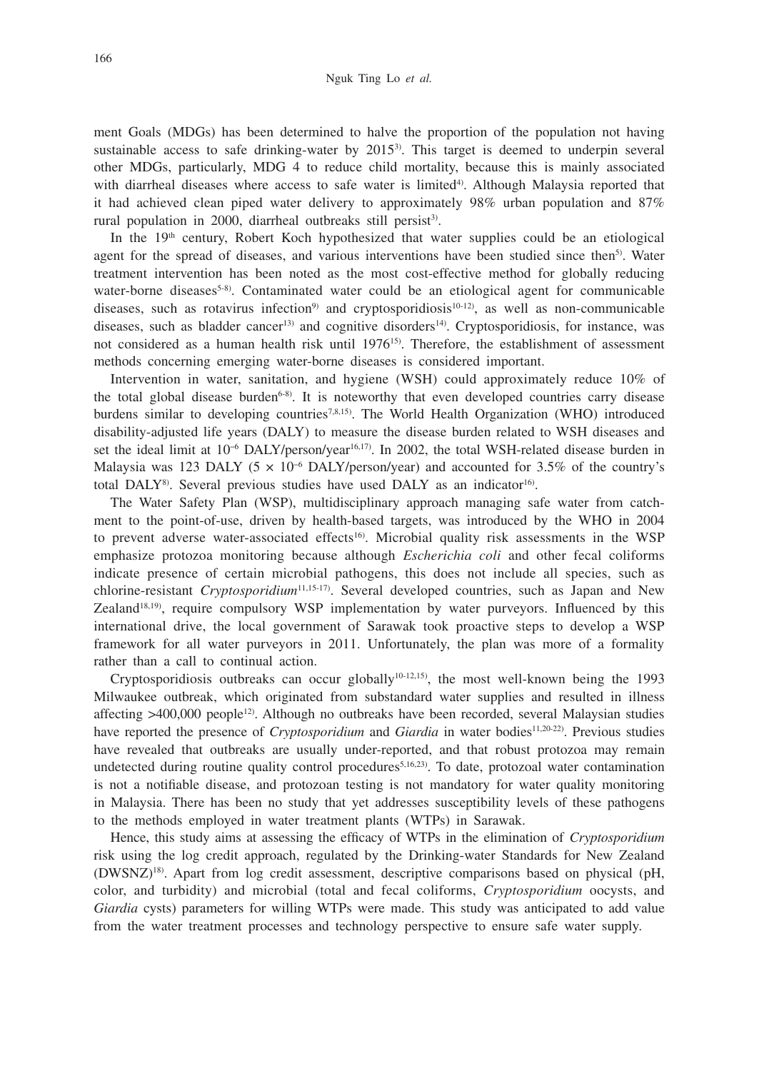ment Goals (MDGs) has been determined to halve the proportion of the population not having sustainable access to safe drinking-water by  $2015<sup>3</sup>$ . This target is deemed to underpin several other MDGs, particularly, MDG 4 to reduce child mortality, because this is mainly associated with diarrheal diseases where access to safe water is limited<sup>4</sup>). Although Malaysia reported that it had achieved clean piped water delivery to approximately 98% urban population and 87% rural population in 2000, diarrheal outbreaks still persist<sup>3)</sup>.

In the  $19<sup>th</sup>$  century, Robert Koch hypothesized that water supplies could be an etiological agent for the spread of diseases, and various interventions have been studied since then<sup>5)</sup>. Water treatment intervention has been noted as the most cost-effective method for globally reducing water-borne diseases<sup>5-8)</sup>. Contaminated water could be an etiological agent for communicable diseases, such as rotavirus infection<sup>9)</sup> and cryptosporidiosis<sup>10-12</sup>, as well as non-communicable diseases, such as bladder cancer<sup>13)</sup> and cognitive disorders<sup>14)</sup>. Cryptosporidiosis, for instance, was not considered as a human health risk until 197615). Therefore, the establishment of assessment methods concerning emerging water-borne diseases is considered important.

Intervention in water, sanitation, and hygiene (WSH) could approximately reduce 10% of the total global disease burden<sup>6-8)</sup>. It is noteworthy that even developed countries carry disease burdens similar to developing countries7,8,15). The World Health Organization (WHO) introduced disability-adjusted life years (DALY) to measure the disease burden related to WSH diseases and set the ideal limit at 10<sup>-6</sup> DALY/person/year<sup>16,17</sup>). In 2002, the total WSH-related disease burden in Malaysia was 123 DALY (5  $\times$  10<sup>-6</sup> DALY/person/year) and accounted for 3.5% of the country's total DALY<sup>8)</sup>. Several previous studies have used DALY as an indicator<sup>16)</sup>.

The Water Safety Plan (WSP), multidisciplinary approach managing safe water from catchment to the point-of-use, driven by health-based targets, was introduced by the WHO in 2004 to prevent adverse water-associated effects<sup>16</sup>. Microbial quality risk assessments in the WSP emphasize protozoa monitoring because although *Escherichia coli* and other fecal coliforms indicate presence of certain microbial pathogens, this does not include all species, such as chlorine-resistant *Cryptosporidium*11,15-17). Several developed countries, such as Japan and New Zealand<sup>18,19)</sup>, require compulsory WSP implementation by water purveyors. Influenced by this international drive, the local government of Sarawak took proactive steps to develop a WSP framework for all water purveyors in 2011. Unfortunately, the plan was more of a formality rather than a call to continual action.

Cryptosporidiosis outbreaks can occur globally<sup>10-12,15</sup>), the most well-known being the 1993 Milwaukee outbreak, which originated from substandard water supplies and resulted in illness affecting >400,000 people<sup>12</sup>. Although no outbreaks have been recorded, several Malaysian studies have reported the presence of *Cryptosporidium* and *Giardia* in water bodies<sup>11,20-22)</sup>. Previous studies have revealed that outbreaks are usually under-reported, and that robust protozoa may remain undetected during routine quality control procedures<sup>5,16,23)</sup>. To date, protozoal water contamination is not a notifiable disease, and protozoan testing is not mandatory for water quality monitoring in Malaysia. There has been no study that yet addresses susceptibility levels of these pathogens to the methods employed in water treatment plants (WTPs) in Sarawak.

Hence, this study aims at assessing the efficacy of WTPs in the elimination of *Cryptosporidium* risk using the log credit approach, regulated by the Drinking-water Standards for New Zealand (DWSNZ)18). Apart from log credit assessment, descriptive comparisons based on physical (pH, color, and turbidity) and microbial (total and fecal coliforms, *Cryptosporidium* oocysts, and *Giardia* cysts) parameters for willing WTPs were made. This study was anticipated to add value from the water treatment processes and technology perspective to ensure safe water supply.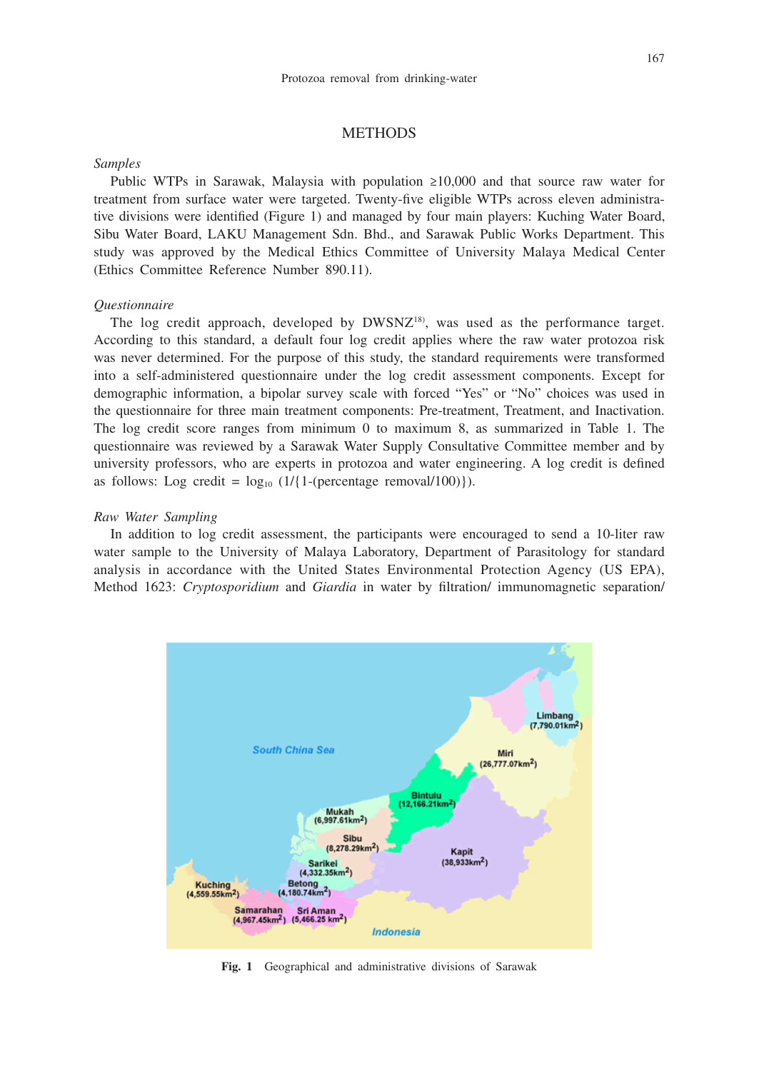## **METHODS**

### *Samples*

Public WTPs in Sarawak, Malaysia with population ≥10,000 and that source raw water for treatment from surface water were targeted. Twenty-five eligible WTPs across eleven administrative divisions were identified (Figure 1) and managed by four main players: Kuching Water Board, Sibu Water Board, LAKU Management Sdn. Bhd., and Sarawak Public Works Department. This study was approved by the Medical Ethics Committee of University Malaya Medical Center (Ethics Committee Reference Number 890.11).

#### *Questionnaire*

The log credit approach, developed by  $DWSNZ^{18}$ , was used as the performance target. According to this standard, a default four log credit applies where the raw water protozoa risk was never determined. For the purpose of this study, the standard requirements were transformed into a self-administered questionnaire under the log credit assessment components. Except for demographic information, a bipolar survey scale with forced "Yes" or "No" choices was used in the questionnaire for three main treatment components: Pre-treatment, Treatment, and Inactivation. The log credit score ranges from minimum 0 to maximum 8, as summarized in Table 1. The questionnaire was reviewed by a Sarawak Water Supply Consultative Committee member and by university professors, who are experts in protozoa and water engineering. A log credit is defined as follows: Log credit =  $log_{10} (1/\{1\}-(percentage$  removal/100) $)).$ 

#### *Raw Water Sampling*

In addition to log credit assessment, the participants were encouraged to send a 10-liter raw water sample to the University of Malaya Laboratory, Department of Parasitology for standard analysis in accordance with the United States Environmental Protection Agency (US EPA), Method 1623: *Cryptosporidium* and *Giardia* in water by filtration/ immunomagnetic separation/



**Fig. 1** Geographical and administrative divisions of Sarawak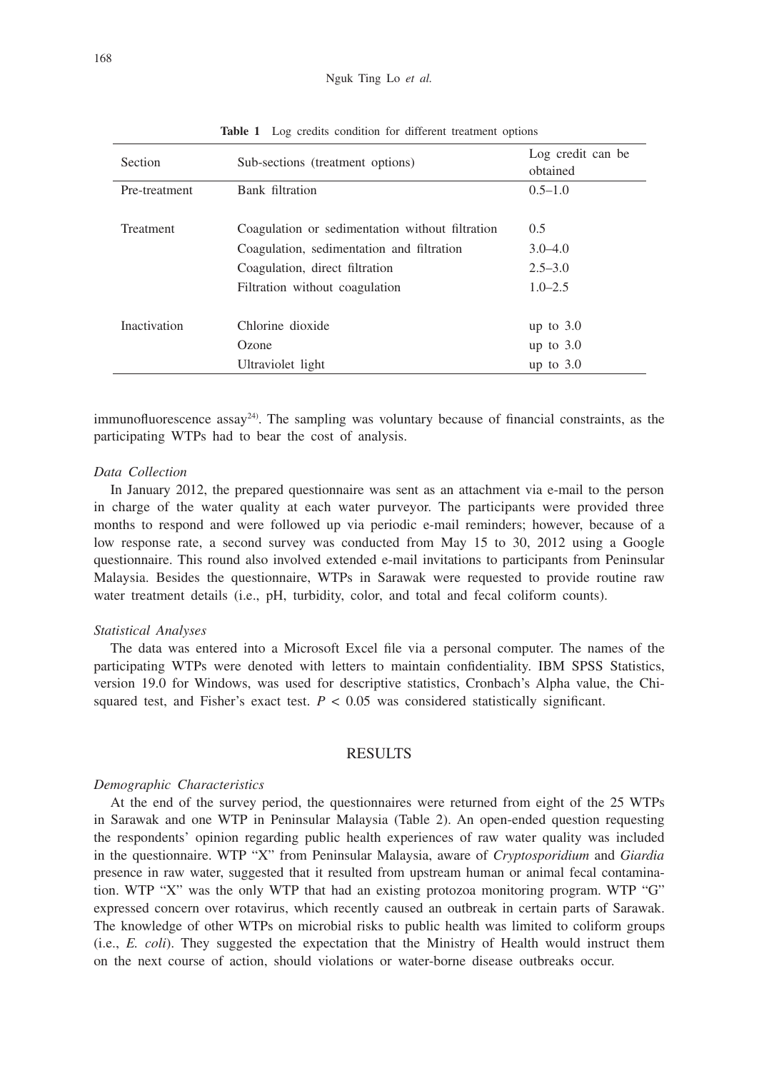| Section          | Sub-sections (treatment options)                | Log credit can be<br>obtained |
|------------------|-------------------------------------------------|-------------------------------|
| Pre-treatment    | Bank filtration                                 | $0.5 - 1.0$                   |
|                  |                                                 |                               |
| <b>Treatment</b> | Coagulation or sedimentation without filtration | 0.5                           |
|                  | Coagulation, sedimentation and filtration       | $3.0 - 4.0$                   |
|                  | Coagulation, direct filtration                  | $2.5 - 3.0$                   |
|                  | Filtration without coagulation                  | $1.0 - 2.5$                   |
|                  |                                                 |                               |
| Inactivation     | Chlorine dioxide                                | up to $3.0$                   |
|                  | Ozone                                           | up to $3.0$                   |
|                  | Ultraviolet light                               | up to $3.0$                   |

**Table 1** Log credits condition for different treatment options

immunofluorescence assay<sup>24</sup>). The sampling was voluntary because of financial constraints, as the participating WTPs had to bear the cost of analysis.

# *Data Collection*

In January 2012, the prepared questionnaire was sent as an attachment via e-mail to the person in charge of the water quality at each water purveyor. The participants were provided three months to respond and were followed up via periodic e-mail reminders; however, because of a low response rate, a second survey was conducted from May 15 to 30, 2012 using a Google questionnaire. This round also involved extended e-mail invitations to participants from Peninsular Malaysia. Besides the questionnaire, WTPs in Sarawak were requested to provide routine raw water treatment details (i.e., pH, turbidity, color, and total and fecal coliform counts).

#### *Statistical Analyses*

The data was entered into a Microsoft Excel file via a personal computer. The names of the participating WTPs were denoted with letters to maintain confidentiality. IBM SPSS Statistics, version 19.0 for Windows, was used for descriptive statistics, Cronbach's Alpha value, the Chisquared test, and Fisher's exact test.  $P < 0.05$  was considered statistically significant.

# RESULTS

#### *Demographic Characteristics*

At the end of the survey period, the questionnaires were returned from eight of the 25 WTPs in Sarawak and one WTP in Peninsular Malaysia (Table 2). An open-ended question requesting the respondents' opinion regarding public health experiences of raw water quality was included in the questionnaire. WTP "X" from Peninsular Malaysia, aware of *Cryptosporidium* and *Giardia* presence in raw water, suggested that it resulted from upstream human or animal fecal contamination. WTP "X" was the only WTP that had an existing protozoa monitoring program. WTP "G" expressed concern over rotavirus, which recently caused an outbreak in certain parts of Sarawak. The knowledge of other WTPs on microbial risks to public health was limited to coliform groups (i.e., *E. coli*). They suggested the expectation that the Ministry of Health would instruct them on the next course of action, should violations or water-borne disease outbreaks occur.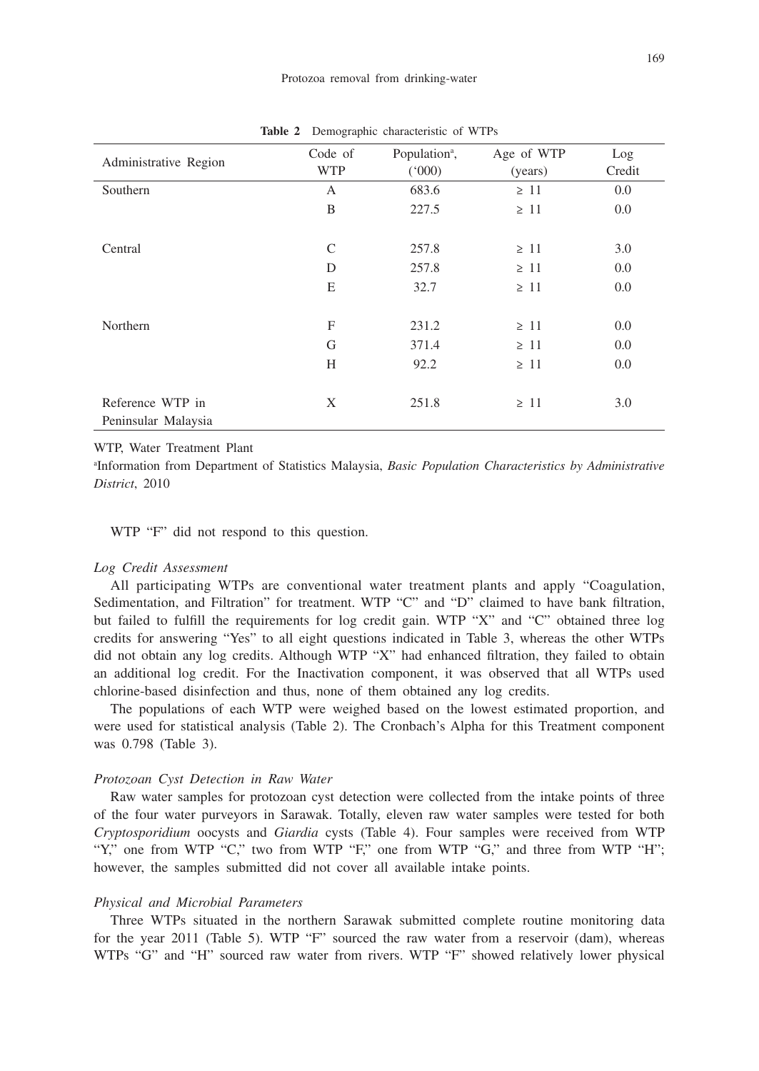| Administrative Region | Code of<br><b>WTP</b> | Population <sup>a</sup> ,<br>(000) | Age of WTP<br>(years) | Log<br>Credit |
|-----------------------|-----------------------|------------------------------------|-----------------------|---------------|
| Southern              | A                     | 683.6                              | $\geq 11$             | 0.0           |
|                       | B                     | 227.5                              | $\geq 11$             | 0.0           |
|                       |                       |                                    |                       |               |
| Central               | $\mathcal{C}$         | 257.8                              | $\geq 11$             | 3.0           |
|                       | D                     | 257.8                              | $\geq 11$             | 0.0           |
|                       | E                     | 32.7                               | $\geq 11$             | 0.0           |
|                       |                       |                                    |                       |               |
| Northern              | F                     | 231.2                              | $\geq 11$             | 0.0           |
|                       | G                     | 371.4                              | $\geq 11$             | 0.0           |
|                       | H                     | 92.2                               | $\geq 11$             | 0.0           |
|                       |                       |                                    |                       |               |
| Reference WTP in      | X                     | 251.8                              | $\geq 11$             | 3.0           |
| Peninsular Malaysia   |                       |                                    |                       |               |

**Table 2** Demographic characteristic of WTPs

WTP, Water Treatment Plant

a Information from Department of Statistics Malaysia, *Basic Population Characteristics by Administrative District*, 2010

WTP "F" did not respond to this question.

#### *Log Credit Assessment*

All participating WTPs are conventional water treatment plants and apply "Coagulation, Sedimentation, and Filtration" for treatment. WTP "C" and "D" claimed to have bank filtration, but failed to fulfill the requirements for log credit gain. WTP "X" and "C" obtained three log credits for answering "Yes" to all eight questions indicated in Table 3, whereas the other WTPs did not obtain any log credits. Although WTP "X" had enhanced filtration, they failed to obtain an additional log credit. For the Inactivation component, it was observed that all WTPs used chlorine-based disinfection and thus, none of them obtained any log credits.

The populations of each WTP were weighed based on the lowest estimated proportion, and were used for statistical analysis (Table 2). The Cronbach's Alpha for this Treatment component was 0.798 (Table 3).

#### *Protozoan Cyst Detection in Raw Water*

Raw water samples for protozoan cyst detection were collected from the intake points of three of the four water purveyors in Sarawak. Totally, eleven raw water samples were tested for both *Cryptosporidium* oocysts and *Giardia* cysts (Table 4). Four samples were received from WTP "Y," one from WTP "C," two from WTP "F," one from WTP "G," and three from WTP "H"; however, the samples submitted did not cover all available intake points.

### *Physical and Microbial Parameters*

Three WTPs situated in the northern Sarawak submitted complete routine monitoring data for the year 2011 (Table 5). WTP "F" sourced the raw water from a reservoir (dam), whereas WTPs "G" and "H" sourced raw water from rivers. WTP "F" showed relatively lower physical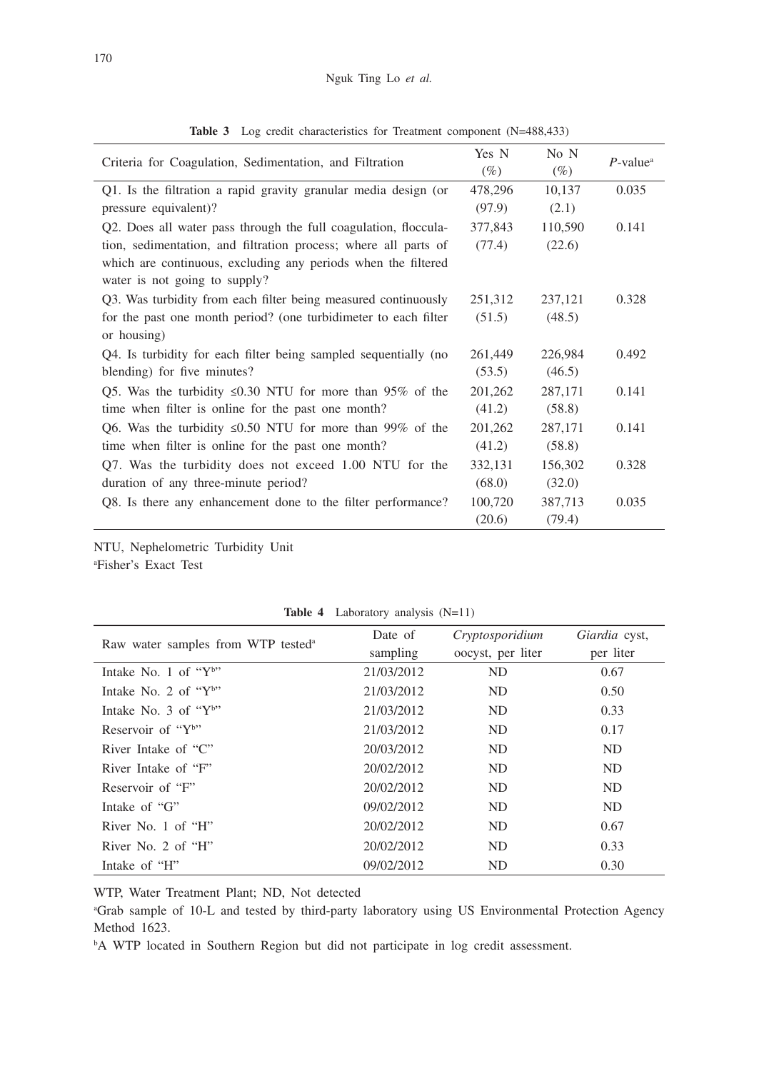| Criteria for Coagulation, Sedimentation, and Filtration         | Yes N<br>$(\%)$ | No N<br>$(\%)$ | $P$ -value <sup><math>a</math></sup> |
|-----------------------------------------------------------------|-----------------|----------------|--------------------------------------|
| Q1. Is the filtration a rapid gravity granular media design (or | 478,296         | 10,137         | 0.035                                |
| pressure equivalent)?                                           | (97.9)          | (2.1)          |                                      |
| Q2. Does all water pass through the full coagulation, floccula- | 377,843         | 110,590        | 0.141                                |
| tion, sedimentation, and filtration process; where all parts of | (77.4)          | (22.6)         |                                      |
| which are continuous, excluding any periods when the filtered   |                 |                |                                      |
| water is not going to supply?                                   |                 |                |                                      |
| Q3. Was turbidity from each filter being measured continuously  | 251,312         | 237,121        | 0.328                                |
| for the past one month period? (one turbidimeter to each filter | (51.5)          | (48.5)         |                                      |
| or housing)                                                     |                 |                |                                      |
| Q4. Is turbidity for each filter being sampled sequentially (no | 261,449         | 226,984        | 0.492                                |
| blending) for five minutes?                                     | (53.5)          | (46.5)         |                                      |
| Q5. Was the turbidity $\leq 0.30$ NTU for more than 95% of the  | 201,262         | 287,171        | 0.141                                |
| time when filter is online for the past one month?              | (41.2)          | (58.8)         |                                      |
| Q6. Was the turbidity $\leq 0.50$ NTU for more than 99% of the  | 201,262         | 287,171        | 0.141                                |
| time when filter is online for the past one month?              | (41.2)          | (58.8)         |                                      |
| Q7. Was the turbidity does not exceed 1.00 NTU for the          | 332,131         | 156,302        | 0.328                                |
| duration of any three-minute period?                            | (68.0)          | (32.0)         |                                      |
| Q8. Is there any enhancement done to the filter performance?    | 100,720         | 387,713        | 0.035                                |
|                                                                 | (20.6)          | (79.4)         |                                      |

**Table 3** Log credit characteristics for Treatment component (N=488,433)

NTU, Nephelometric Turbidity Unit a Fisher's Exact Test

| Raw water samples from WTP tested <sup>a</sup> | Date of    | Cryptosporidium   | Giardia cyst,  |
|------------------------------------------------|------------|-------------------|----------------|
|                                                | sampling   | oocyst, per liter | per liter      |
| Intake No. 1 of " $Y^b$ "                      | 21/03/2012 | ND                | 0.67           |
| Intake No. 2 of " $Y^b$ "                      | 21/03/2012 | N <sub>D</sub>    | 0.50           |
| Intake No. 3 of " $Y^b$ "                      | 21/03/2012 | N <sub>D</sub>    | 0.33           |
| Reservoir of "Yb"                              | 21/03/2012 | ND.               | 0.17           |
| River Intake of "C"                            | 20/03/2012 | N <sub>D</sub>    | N <sub>D</sub> |
| River Intake of "F"                            | 20/02/2012 | N <sub>D</sub>    | ND.            |
| Reservoir of "F"                               | 20/02/2012 | N <sub>D</sub>    | ND             |
| Intake of "G"                                  | 09/02/2012 | N <sub>D</sub>    | ND             |
| River No. 1 of "H"                             | 20/02/2012 | ND.               | 0.67           |
| River No. $2$ of "H"                           | 20/02/2012 | ND                | 0.33           |
| Intake of "H"                                  | 09/02/2012 | ND                | 0.30           |

**Table 4** Laboratory analysis (N=11)

WTP, Water Treatment Plant; ND, Not detected

a Grab sample of 10-L and tested by third-party laboratory using US Environmental Protection Agency Method 1623.

b A WTP located in Southern Region but did not participate in log credit assessment.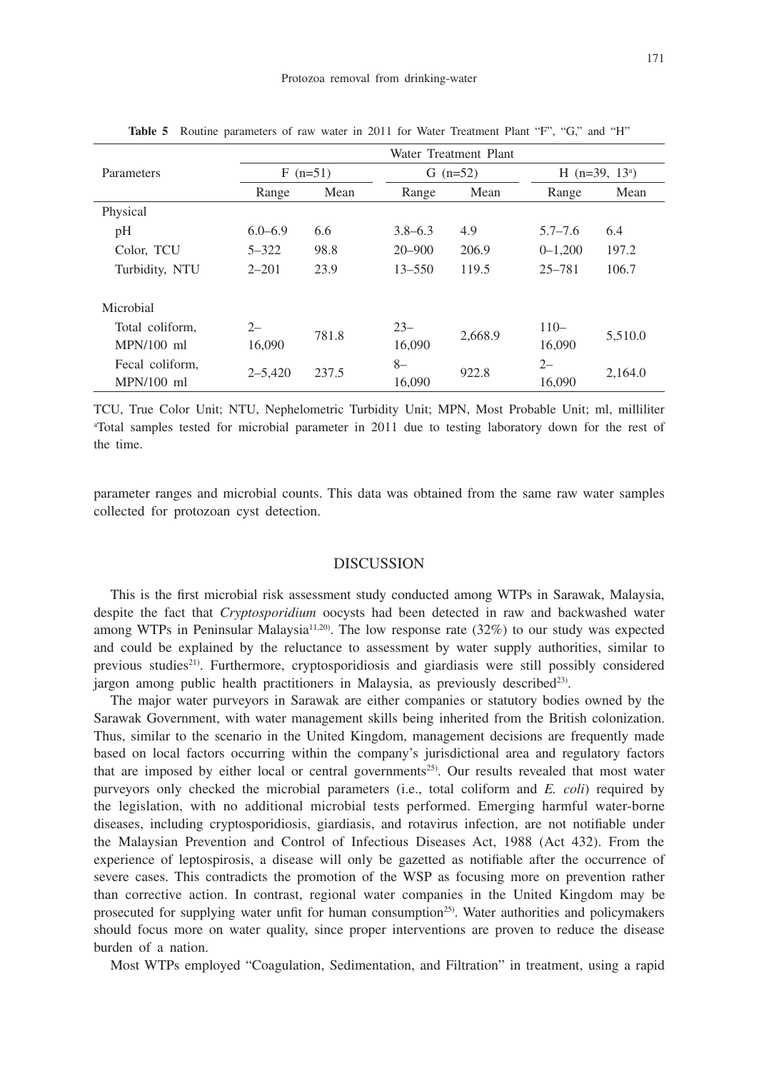|                                 |                |            |                  | Water Treatment Plant |                  |                  |  |
|---------------------------------|----------------|------------|------------------|-----------------------|------------------|------------------|--|
| Parameters                      |                | $F$ (n=51) |                  | G $(n=52)$            |                  | H $(n=39, 13^a)$ |  |
|                                 | Range          | Mean       | Range            | Mean                  | Range            | Mean             |  |
| Physical                        |                |            |                  |                       |                  |                  |  |
| pH                              | $6.0 - 6.9$    | 6.6        | $3.8 - 6.3$      | 4.9                   | $5.7 - 7.6$      | 6.4              |  |
| Color, TCU                      | $5 - 322$      | 98.8       | $20 - 900$       | 206.9                 | $0 - 1,200$      | 197.2            |  |
| Turbidity, NTU                  | $2 - 201$      | 23.9       | $13 - 550$       | 119.5                 | $25 - 781$       | 106.7            |  |
| Microbial                       |                |            |                  |                       |                  |                  |  |
| Total coliform,<br>$MPN/100$ ml | $2-$<br>16.090 | 781.8      | $23 -$<br>16,090 | 2,668.9               | $110-$<br>16,090 | 5,510.0          |  |
| Fecal coliform,<br>$MPN/100$ ml | $2 - 5.420$    | 237.5      | $8-$<br>16.090   | 922.8                 | $2 -$<br>16.090  | 2,164.0          |  |

**Table 5** Routine parameters of raw water in 2011 for Water Treatment Plant "F", "G," and "H"

TCU, True Color Unit; NTU, Nephelometric Turbidity Unit; MPN, Most Probable Unit; ml, milliliter a Total samples tested for microbial parameter in 2011 due to testing laboratory down for the rest of the time.

parameter ranges and microbial counts. This data was obtained from the same raw water samples collected for protozoan cyst detection.

## **DISCUSSION**

This is the first microbial risk assessment study conducted among WTPs in Sarawak, Malaysia, despite the fact that *Cryptosporidium* oocysts had been detected in raw and backwashed water among WTPs in Peninsular Malaysia<sup>11,20)</sup>. The low response rate  $(32%)$  to our study was expected and could be explained by the reluctance to assessment by water supply authorities, similar to previous studies<sup>21)</sup>. Furthermore, cryptosporidiosis and giardiasis were still possibly considered jargon among public health practitioners in Malaysia, as previously described<sup>23)</sup>.

The major water purveyors in Sarawak are either companies or statutory bodies owned by the Sarawak Government, with water management skills being inherited from the British colonization. Thus, similar to the scenario in the United Kingdom, management decisions are frequently made based on local factors occurring within the company's jurisdictional area and regulatory factors that are imposed by either local or central governments<sup>25)</sup>. Our results revealed that most water purveyors only checked the microbial parameters (i.e., total coliform and *E. coli*) required by the legislation, with no additional microbial tests performed. Emerging harmful water-borne diseases, including cryptosporidiosis, giardiasis, and rotavirus infection, are not notifiable under the Malaysian Prevention and Control of Infectious Diseases Act, 1988 (Act 432). From the experience of leptospirosis, a disease will only be gazetted as notifiable after the occurrence of severe cases. This contradicts the promotion of the WSP as focusing more on prevention rather than corrective action. In contrast, regional water companies in the United Kingdom may be prosecuted for supplying water unfit for human consumption<sup>25)</sup>. Water authorities and policymakers should focus more on water quality, since proper interventions are proven to reduce the disease burden of a nation.

Most WTPs employed "Coagulation, Sedimentation, and Filtration" in treatment, using a rapid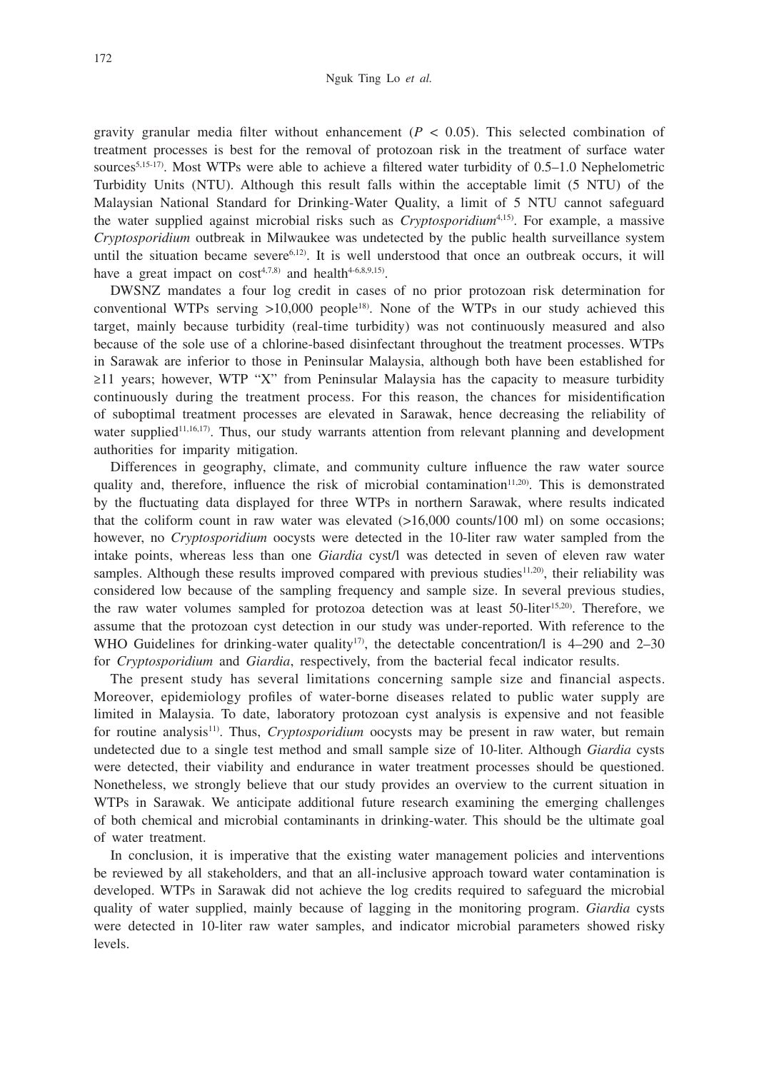gravity granular media filter without enhancement  $(P < 0.05)$ . This selected combination of treatment processes is best for the removal of protozoan risk in the treatment of surface water sources<sup>5,15-17</sup>). Most WTPs were able to achieve a filtered water turbidity of 0.5–1.0 Nephelometric Turbidity Units (NTU). Although this result falls within the acceptable limit (5 NTU) of the Malaysian National Standard for Drinking-Water Quality, a limit of 5 NTU cannot safeguard the water supplied against microbial risks such as *Cryptosporidium*4,15). For example, a massive *Cryptosporidium* outbreak in Milwaukee was undetected by the public health surveillance system until the situation became severe<sup>6,12</sup>). It is well understood that once an outbreak occurs, it will have a great impact on  $cost^{4,7,8)}$  and health<sup>4-6,8,9,15</sup>).

DWSNZ mandates a four log credit in cases of no prior protozoan risk determination for conventional WTPs serving  $>10,000$  people<sup>18)</sup>. None of the WTPs in our study achieved this target, mainly because turbidity (real-time turbidity) was not continuously measured and also because of the sole use of a chlorine-based disinfectant throughout the treatment processes. WTPs in Sarawak are inferior to those in Peninsular Malaysia, although both have been established for ≥11 years; however, WTP "X" from Peninsular Malaysia has the capacity to measure turbidity continuously during the treatment process. For this reason, the chances for misidentification of suboptimal treatment processes are elevated in Sarawak, hence decreasing the reliability of water supplied<sup>11,16,17</sup>. Thus, our study warrants attention from relevant planning and development authorities for imparity mitigation.

Differences in geography, climate, and community culture influence the raw water source quality and, therefore, influence the risk of microbial contamination $11,20$ . This is demonstrated by the fluctuating data displayed for three WTPs in northern Sarawak, where results indicated that the coliform count in raw water was elevated  $(>16,000 \text{ counts}/100 \text{ ml})$  on some occasions; however, no *Cryptosporidium* oocysts were detected in the 10-liter raw water sampled from the intake points, whereas less than one *Giardia* cyst/l was detected in seven of eleven raw water samples. Although these results improved compared with previous studies<sup>11,20</sup>), their reliability was considered low because of the sampling frequency and sample size. In several previous studies, the raw water volumes sampled for protozoa detection was at least 50-liter15,20). Therefore, we assume that the protozoan cyst detection in our study was under-reported. With reference to the WHO Guidelines for drinking-water quality<sup>17</sup>, the detectable concentration/l is  $4-290$  and  $2-30$ for *Cryptosporidium* and *Giardia*, respectively, from the bacterial fecal indicator results.

The present study has several limitations concerning sample size and financial aspects. Moreover, epidemiology profiles of water-borne diseases related to public water supply are limited in Malaysia. To date, laboratory protozoan cyst analysis is expensive and not feasible for routine analysis11). Thus, *Cryptosporidium* oocysts may be present in raw water, but remain undetected due to a single test method and small sample size of 10-liter. Although *Giardia* cysts were detected, their viability and endurance in water treatment processes should be questioned. Nonetheless, we strongly believe that our study provides an overview to the current situation in WTPs in Sarawak. We anticipate additional future research examining the emerging challenges of both chemical and microbial contaminants in drinking-water. This should be the ultimate goal of water treatment.

In conclusion, it is imperative that the existing water management policies and interventions be reviewed by all stakeholders, and that an all-inclusive approach toward water contamination is developed. WTPs in Sarawak did not achieve the log credits required to safeguard the microbial quality of water supplied, mainly because of lagging in the monitoring program. *Giardia* cysts were detected in 10-liter raw water samples, and indicator microbial parameters showed risky levels.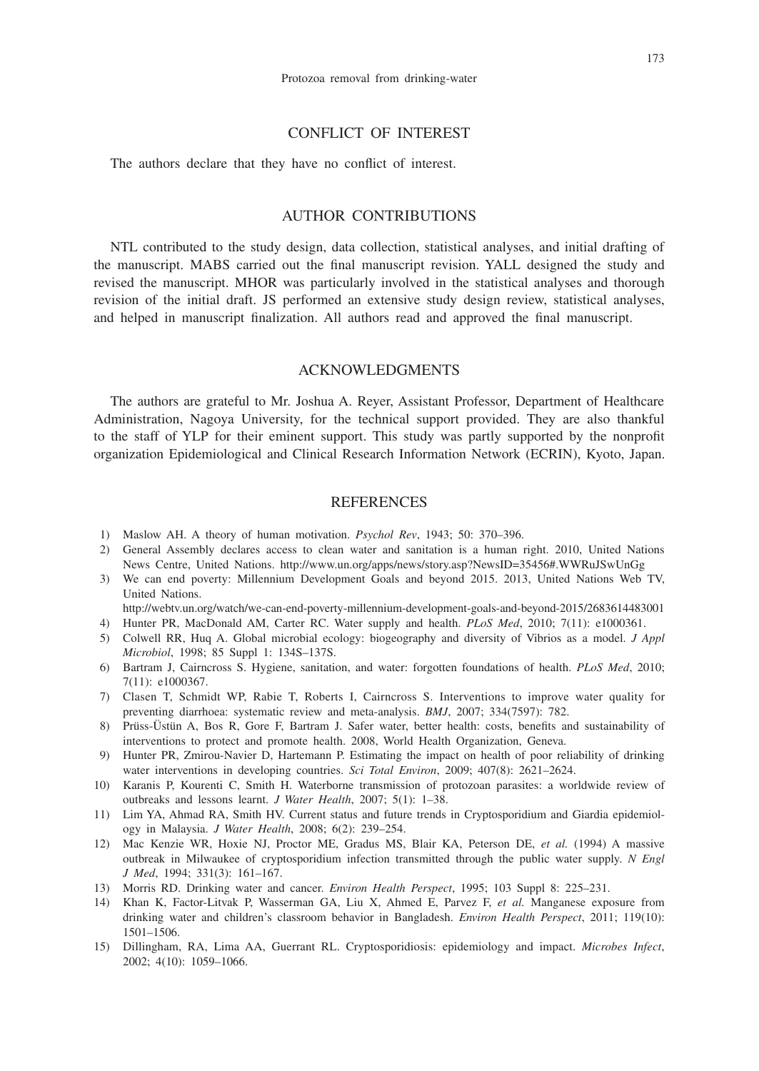# CONFLICT OF INTEREST

The authors declare that they have no conflict of interest.

# AUTHOR CONTRIBUTIONS

NTL contributed to the study design, data collection, statistical analyses, and initial drafting of the manuscript. MABS carried out the final manuscript revision. YALL designed the study and revised the manuscript. MHOR was particularly involved in the statistical analyses and thorough revision of the initial draft. JS performed an extensive study design review, statistical analyses, and helped in manuscript finalization. All authors read and approved the final manuscript.

# ACKNOWLEDGMENTS

The authors are grateful to Mr. Joshua A. Reyer, Assistant Professor, Department of Healthcare Administration, Nagoya University, for the technical support provided. They are also thankful to the staff of YLP for their eminent support. This study was partly supported by the nonprofit organization Epidemiological and Clinical Research Information Network (ECRIN), Kyoto, Japan.

# **REFERENCES**

- 1) Maslow AH. A theory of human motivation. *Psychol Rev*, 1943; 50: 370–396.
- 2) General Assembly declares access to clean water and sanitation is a human right. 2010, United Nations News Centre, United Nations. http://www.un.org/apps/news/story.asp?NewsID=35456#.WWRuJSwUnGg
- 3) We can end poverty: Millennium Development Goals and beyond 2015. 2013, United Nations Web TV, United Nations.

http://webtv.un.org/watch/we-can-end-poverty-millennium-development-goals-and-beyond-2015/2683614483001 4) Hunter PR, MacDonald AM, Carter RC. Water supply and health. *PLoS Med*, 2010; 7(11): e1000361.

- 5) Colwell RR, Huq A. Global microbial ecology: biogeography and diversity of Vibrios as a model. *J Appl Microbiol*, 1998; 85 Suppl 1: 134S–137S.
- 6) Bartram J, Cairncross S. Hygiene, sanitation, and water: forgotten foundations of health. *PLoS Med*, 2010; 7(11): e1000367.
- 7) Clasen T, Schmidt WP, Rabie T, Roberts I, Cairncross S. Interventions to improve water quality for preventing diarrhoea: systematic review and meta-analysis. *BMJ*, 2007; 334(7597): 782.
- 8) Prüss-Üstün A, Bos R, Gore F, Bartram J. Safer water, better health: costs, benefits and sustainability of interventions to protect and promote health. 2008, World Health Organization, Geneva.
- 9) Hunter PR, Zmirou-Navier D, Hartemann P. Estimating the impact on health of poor reliability of drinking water interventions in developing countries. *Sci Total Environ*, 2009; 407(8): 2621–2624.
- 10) Karanis P, Kourenti C, Smith H. Waterborne transmission of protozoan parasites: a worldwide review of outbreaks and lessons learnt. *J Water Health*, 2007; 5(1): 1–38.
- 11) Lim YA, Ahmad RA, Smith HV. Current status and future trends in Cryptosporidium and Giardia epidemiology in Malaysia. *J Water Health*, 2008; 6(2): 239–254.
- 12) Mac Kenzie WR, Hoxie NJ, Proctor ME, Gradus MS, Blair KA, Peterson DE, *et al.* (1994) A massive outbreak in Milwaukee of cryptosporidium infection transmitted through the public water supply. *N Engl J Med*, 1994; 331(3): 161–167.
- 13) Morris RD. Drinking water and cancer. *Environ Health Perspect*, 1995; 103 Suppl 8: 225–231.
- 14) Khan K, Factor-Litvak P, Wasserman GA, Liu X, Ahmed E, Parvez F, *et al.* Manganese exposure from drinking water and children's classroom behavior in Bangladesh. *Environ Health Perspect*, 2011; 119(10): 1501–1506.
- 15) Dillingham, RA, Lima AA, Guerrant RL. Cryptosporidiosis: epidemiology and impact. *Microbes Infect*, 2002; 4(10): 1059–1066.